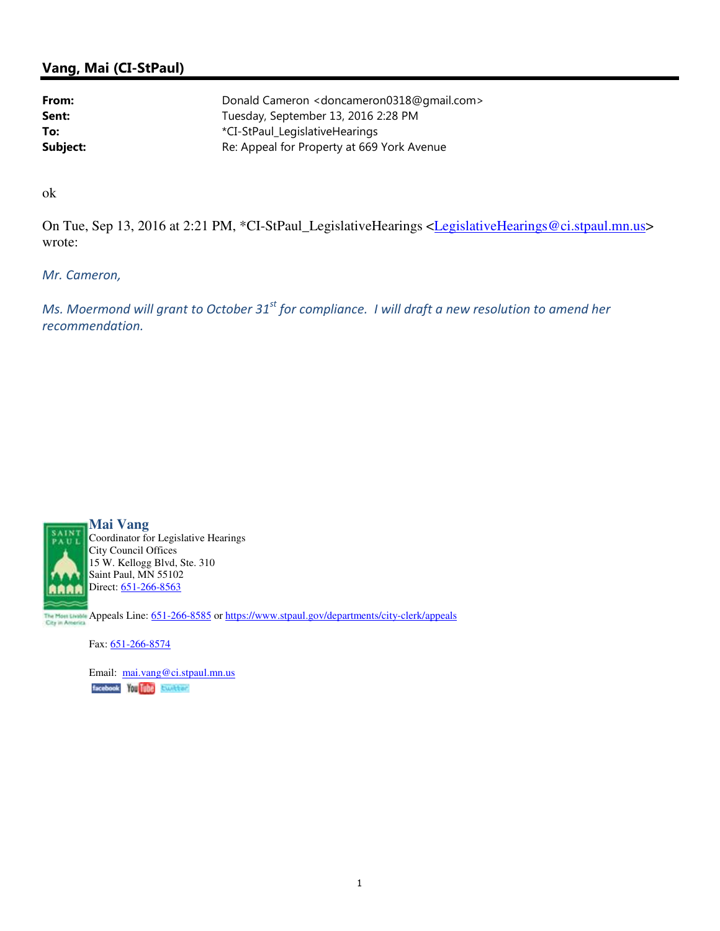## Vang, Mai (CI-StPaul)

| From:    | Donald Cameron <doncameron0318@gmail.com></doncameron0318@gmail.com> |
|----------|----------------------------------------------------------------------|
| Sent:    | Tuesday, September 13, 2016 2:28 PM                                  |
| To:      | *CI-StPaul_LegislativeHearings                                       |
| Subject: | Re: Appeal for Property at 669 York Avenue                           |

ok

On Tue, Sep 13, 2016 at 2:21 PM, \*CI-StPaul\_LegislativeHearings <LegislativeHearings@ci.stpaul.mn.us> wrote:

Mr. Cameron,

Ms. Moermond will grant to October  $31<sup>st</sup>$  for compliance. I will draft a new resolution to amend her recommendation.



**Mai Vang** Coordinator for Legislative Hearings City Council Offices 15 W. Kellogg Blvd, Ste. 310 Saint Paul, MN 55102 Direct: 651-266-8563

The Mont Livelas Appeals Line: 651-266-8585 or https://www.stpaul.gov/departments/city-clerk/appeals

Fax: 651-266-8574

Email: mai.vang@ci.stpaul.mn.usfacebook You Tube Exciter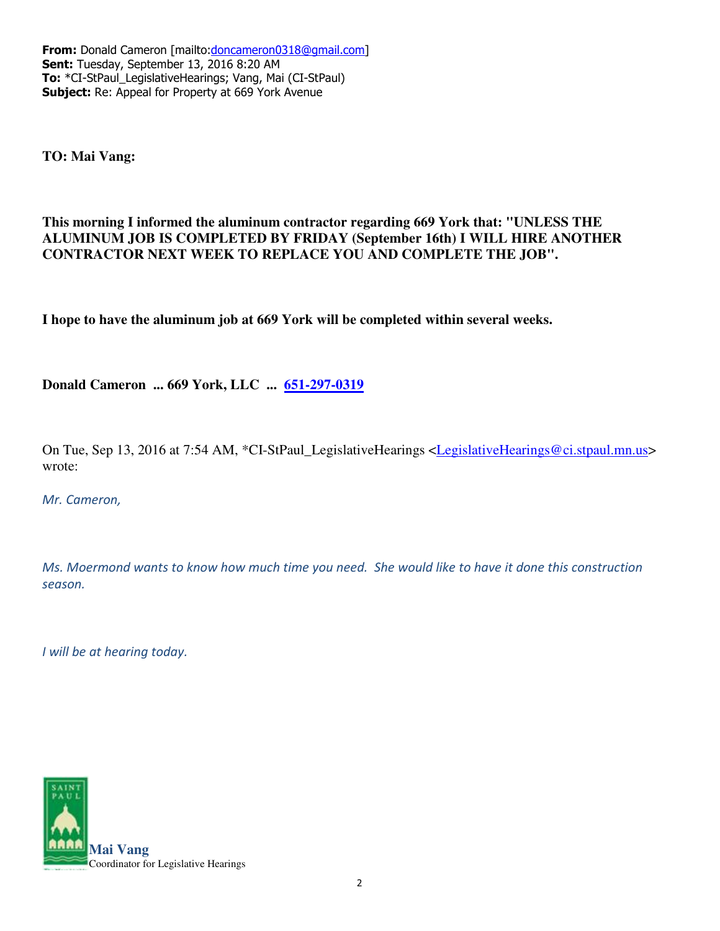From: Donald Cameron [mailto:doncameron0318@gmail.com] Sent: Tuesday, September 13, 2016 8:20 AM To: \*CI-StPaul\_LegislativeHearings; Vang, Mai (CI-StPaul) Subject: Re: Appeal for Property at 669 York Avenue

**TO: Mai Vang:**

## **This morning I informed the aluminum contractor regarding 669 York that: "UNLESS THE ALUMINUM JOB IS COMPLETED BY FRIDAY (September 16th) I WILL HIRE ANOTHER CONTRACTOR NEXT WEEK TO REPLACE YOU AND COMPLETE THE JOB".**

**I hope to have the aluminum job at 669 York will be completed within several weeks.**

**Donald Cameron ... 669 York, LLC ... 651-297-0319**

On Tue, Sep 13, 2016 at 7:54 AM, \*CI-StPaul\_LegislativeHearings <LegislativeHearings@ci.stpaul.mn.us> wrote:

Mr. Cameron,

Ms. Moermond wants to know how much time you need. She would like to have it done this construction season.

I will be at hearing today.

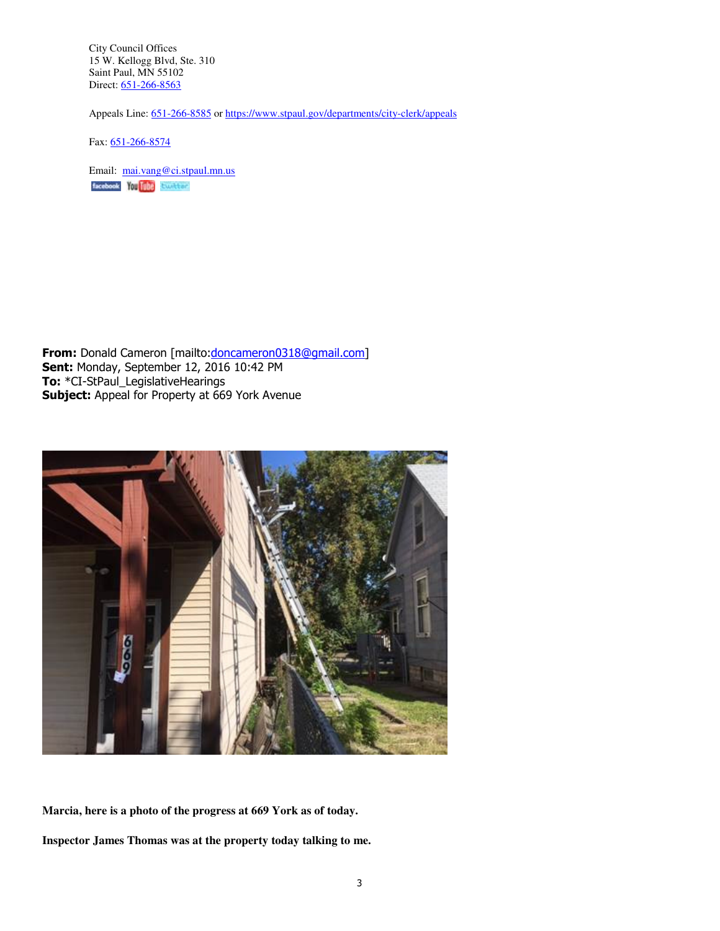City Council Offices 15 W. Kellogg Blvd, Ste. 310 Saint Paul, MN 55102 Direct: 651-266-8563

Appeals Line: 651-266-8585 or https://www.stpaul.gov/departments/city-clerk/appeals

Fax: 651-266-8574

Email: mai.vang@ci.stpaul.mn.us facebook You Tube Excitent

From: Donald Cameron [mailto:doncameron0318@gmail.com] Sent: Monday, September 12, 2016 10:42 PM To: \*CI-StPaul\_LegislativeHearings Subject: Appeal for Property at 669 York Avenue



**Marcia, here is a photo of the progress at 669 York as of today.**

**Inspector James Thomas was at the property today talking to me.**